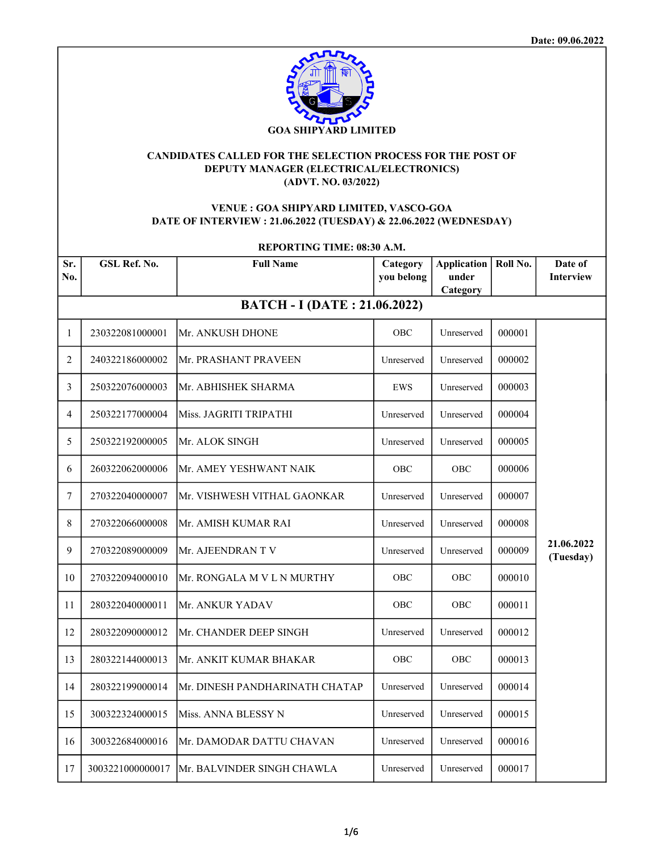

## CANDIDATES CALLED FOR THE SELECTION PROCESS FOR THE POST OF DEPUTY MANAGER (ELECTRICAL/ELECTRONICS) (ADVT. NO. 03/2022)

# VENUE : GOA SHIPYARD LIMITED, VASCO-GOA DATE OF INTERVIEW : 21.06.2022 (TUESDAY) & 22.06.2022 (WEDNESDAY)

| <b>REPORTING TIME: 08:30 A.M.</b> |                  |                                     |                        |                                         |          |                             |
|-----------------------------------|------------------|-------------------------------------|------------------------|-----------------------------------------|----------|-----------------------------|
| Sr.<br>No.                        | GSL Ref. No.     | <b>Full Name</b>                    | Category<br>you belong | <b>Application</b><br>under<br>Category | Roll No. | Date of<br><b>Interview</b> |
|                                   |                  | <b>BATCH - I (DATE: 21.06.2022)</b> |                        |                                         |          |                             |
| $\mathbf{1}$                      | 230322081000001  | Mr. ANKUSH DHONE                    | OBC                    | Unreserved                              | 000001   |                             |
| 2                                 | 240322186000002  | Mr. PRASHANT PRAVEEN                | Unreserved             | Unreserved                              | 000002   |                             |
| 3                                 | 250322076000003  | Mr. ABHISHEK SHARMA                 | EWS                    | Unreserved                              | 000003   |                             |
| 4                                 | 250322177000004  | Miss. JAGRITI TRIPATHI              | Unreserved             | Unreserved                              | 000004   |                             |
| 5                                 | 250322192000005  | Mr. ALOK SINGH                      | Unreserved             | Unreserved                              | 000005   |                             |
| 6                                 | 260322062000006  | Mr. AMEY YESHWANT NAIK              | OBC                    | OBC                                     | 000006   |                             |
| $\tau$                            | 270322040000007  | Mr. VISHWESH VITHAL GAONKAR         | Unreserved             | Unreserved                              | 000007   |                             |
| 8                                 | 270322066000008  | Mr. AMISH KUMAR RAI                 | Unreserved             | Unreserved                              | 000008   |                             |
| 9                                 | 270322089000009  | Mr. AJEENDRAN T V                   | Unreserved             | Unreserved                              | 000009   | 21.06.2022<br>(Tuesday)     |
| 10                                | 270322094000010  | Mr. RONGALA M V L N MURTHY          | OBC                    | OBC                                     | 000010   |                             |
| 11                                | 280322040000011  | Mr. ANKUR YADAV                     | OBC                    | OBC                                     | 000011   |                             |
| 12                                | 280322090000012  | Mr. CHANDER DEEP SINGH              | Unreserved             | Unreserved                              | 000012   |                             |
| 13                                | 280322144000013  | Mr. ANKIT KUMAR BHAKAR              | OBC                    | OBC                                     | 000013   |                             |
| 14                                | 280322199000014  | Mr. DINESH PANDHARINATH CHATAP      | Unreserved             | Unreserved                              | 000014   |                             |
| 15                                | 300322324000015  | Miss. ANNA BLESSY N                 | Unreserved             | Unreserved                              | 000015   |                             |
| 16                                | 300322684000016  | Mr. DAMODAR DATTU CHAVAN            | Unreserved             | Unreserved                              | 000016   |                             |
| 17                                | 3003221000000017 | lMr. BALVINDER SINGH CHAWLA         | Unreserved             | Unreserved                              | 000017   |                             |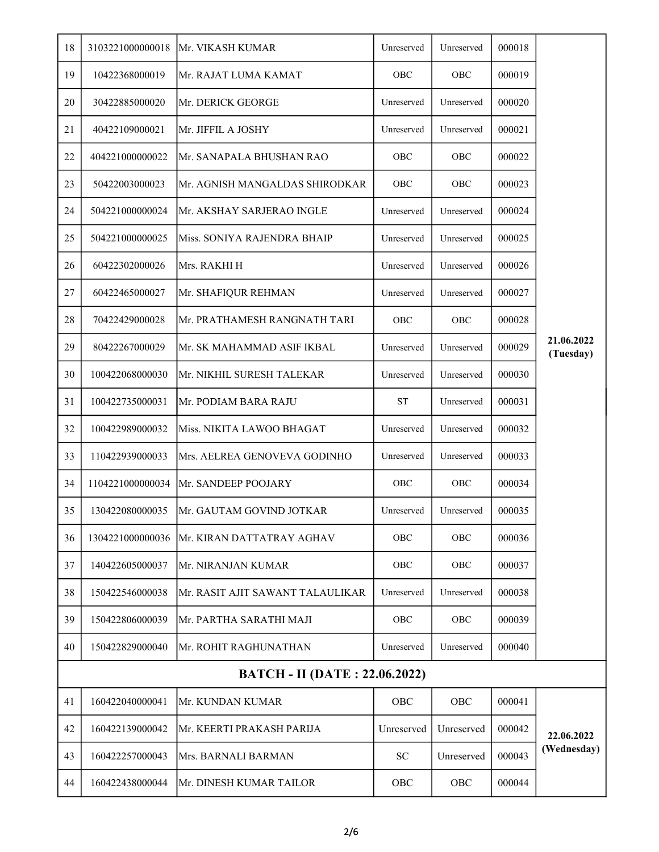| 18 | 3103221000000018                     | <b>Mr. VIKASH KUMAR</b>           | Unreserved | Unreserved | 000018 |                         |  |
|----|--------------------------------------|-----------------------------------|------------|------------|--------|-------------------------|--|
| 19 | 10422368000019                       | Mr. RAJAT LUMA KAMAT              | OBC        | OBC        | 000019 |                         |  |
| 20 | 30422885000020                       | Mr. DERICK GEORGE                 | Unreserved | Unreserved | 000020 |                         |  |
| 21 | 40422109000021                       | Mr. JIFFIL A JOSHY                | Unreserved | Unreserved | 000021 |                         |  |
| 22 | 404221000000022                      | Mr. SANAPALA BHUSHAN RAO          | OBC        | OBC        | 000022 |                         |  |
| 23 | 50422003000023                       | Mr. AGNISH MANGALDAS SHIRODKAR    | OBC        | OBC        | 000023 |                         |  |
| 24 | 504221000000024                      | Mr. AKSHAY SARJERAO INGLE         | Unreserved | Unreserved | 000024 |                         |  |
| 25 | 504221000000025                      | Miss. SONIYA RAJENDRA BHAIP       | Unreserved | Unreserved | 000025 |                         |  |
| 26 | 60422302000026                       | Mrs. RAKHI H                      | Unreserved | Unreserved | 000026 |                         |  |
| 27 | 60422465000027                       | Mr. SHAFIQUR REHMAN               | Unreserved | Unreserved | 000027 |                         |  |
| 28 | 70422429000028                       | Mr. PRATHAMESH RANGNATH TARI      | OBC        | OBC        | 000028 |                         |  |
| 29 | 80422267000029                       | Mr. SK MAHAMMAD ASIF IKBAL        | Unreserved | Unreserved | 000029 | 21.06.2022<br>(Tuesday) |  |
| 30 | 100422068000030                      | Mr. NIKHIL SURESH TALEKAR         | Unreserved | Unreserved | 000030 |                         |  |
| 31 | 100422735000031                      | Mr. PODIAM BARA RAJU              | <b>ST</b>  | Unreserved | 000031 |                         |  |
| 32 | 100422989000032                      | Miss. NIKITA LAWOO BHAGAT         | Unreserved | Unreserved | 000032 |                         |  |
| 33 | 110422939000033                      | Mrs. AELREA GENOVEVA GODINHO      | Unreserved | Unreserved | 000033 |                         |  |
| 34 | 1104221000000034                     | Mr. SANDEEP POOJARY               | OBC        | OBC        | 000034 |                         |  |
| 35 | 130422080000035                      | Mr. GAUTAM GOVIND JOTKAR          | Unreserved | Unreserved | 000035 |                         |  |
| 36 | 1304221000000036                     | Mr. KIRAN DATTATRAY AGHAV         | OBC        | OBC        | 000036 |                         |  |
| 37 | 140422605000037                      | Mr. NIRANJAN KUMAR                | OBC        | OBC        | 000037 |                         |  |
| 38 | 150422546000038                      | İMr. RASIT AJIT SAWANT TALAULIKAR | Unreserved | Unreserved | 000038 |                         |  |
| 39 | 150422806000039                      | Mr. PARTHA SARATHI MAJI           | OBC        | OBC        | 000039 |                         |  |
| 40 | 150422829000040                      | Mr. ROHIT RAGHUNATHAN             | Unreserved | Unreserved | 000040 |                         |  |
|    | <b>BATCH - II (DATE: 22.06.2022)</b> |                                   |            |            |        |                         |  |
| 41 | 160422040000041                      | Mr. KUNDAN KUMAR                  | OBC        | OBC        | 000041 |                         |  |
| 42 | 160422139000042                      | Mr. KEERTI PRAKASH PARIJA         | Unreserved | Unreserved | 000042 | 22.06.2022              |  |
| 43 | 160422257000043                      | Mrs. BARNALI BARMAN               | <b>SC</b>  | Unreserved | 000043 | (Wednesday)             |  |
| 44 | 160422438000044                      | Mr. DINESH KUMAR TAILOR           | OBC        | OBC        | 000044 |                         |  |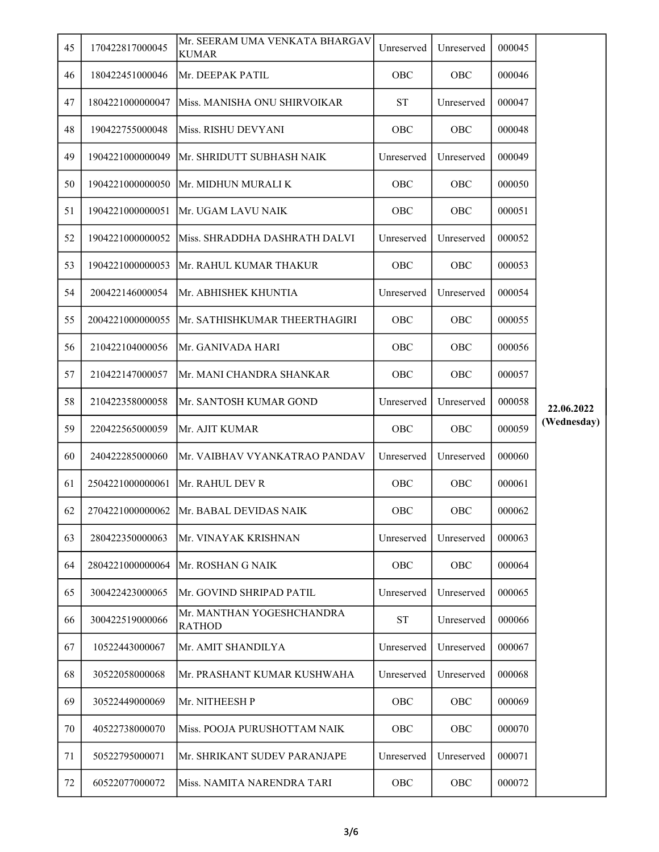| 45 | 170422817000045  | Mr. SEERAM UMA VENKATA BHARGAV<br><b>KUMAR</b> | Unreserved | Unreserved | 000045 |             |
|----|------------------|------------------------------------------------|------------|------------|--------|-------------|
| 46 | 180422451000046  | Mr. DEEPAK PATIL                               | OBC        | OBC        | 000046 |             |
| 47 | 1804221000000047 | Miss. MANISHA ONU SHIRVOIKAR                   | <b>ST</b>  | Unreserved | 000047 |             |
| 48 | 190422755000048  | Miss. RISHU DEVYANI                            | <b>OBC</b> | OBC        | 000048 |             |
| 49 | 1904221000000049 | Mr. SHRIDUTT SUBHASH NAIK                      | Unreserved | Unreserved | 000049 |             |
| 50 | 1904221000000050 | Mr. MIDHUN MURALI K                            | OBC        | OBC        | 000050 |             |
| 51 | 1904221000000051 | Mr. UGAM LAVU NAIK                             | OBC        | OBC        | 000051 |             |
| 52 | 1904221000000052 | Miss. SHRADDHA DASHRATH DALVI                  | Unreserved | Unreserved | 000052 |             |
| 53 | 1904221000000053 | Mr. RAHUL KUMAR THAKUR                         | <b>OBC</b> | <b>OBC</b> | 000053 |             |
| 54 | 200422146000054  | Mr. ABHISHEK KHUNTIA                           | Unreserved | Unreserved | 000054 |             |
| 55 | 2004221000000055 | Mr. SATHISHKUMAR THEERTHAGIRI                  | OBC        | OBC        | 000055 |             |
| 56 | 210422104000056  | Mr. GANIVADA HARI                              | <b>OBC</b> | <b>OBC</b> | 000056 |             |
| 57 | 210422147000057  | Mr. MANI CHANDRA SHANKAR                       | <b>OBC</b> | <b>OBC</b> | 000057 |             |
| 58 | 210422358000058  | Mr. SANTOSH KUMAR GOND                         | Unreserved | Unreserved | 000058 | 22.06.2022  |
| 59 | 220422565000059  | Mr. AJIT KUMAR                                 | OBC        | OBC        | 000059 | (Wednesday) |
| 60 | 240422285000060  | Mr. VAIBHAV VYANKATRAO PANDAV                  | Unreserved | Unreserved | 000060 |             |
| 61 | 2504221000000061 | Mr. RAHUL DEV R                                | <b>OBC</b> | <b>OBC</b> | 000061 |             |
| 62 |                  | 2704221000000062 Mr. BABAL DEVIDAS NAIK        | OBC        | OBC        | 000062 |             |
| 63 | 280422350000063  | Mr. VINAYAK KRISHNAN                           | Unreserved | Unreserved | 000063 |             |
| 64 | 2804221000000064 | Mr. ROSHAN G NAIK                              | OBC        | OBC        | 000064 |             |
| 65 | 300422423000065  | Mr. GOVIND SHRIPAD PATIL                       | Unreserved | Unreserved | 000065 |             |
| 66 | 300422519000066  | Mr. MANTHAN YOGESHCHANDRA<br><b>RATHOD</b>     | <b>ST</b>  | Unreserved | 000066 |             |
| 67 | 10522443000067   | Mr. AMIT SHANDILYA                             | Unreserved | Unreserved | 000067 |             |
| 68 | 30522058000068   | Mr. PRASHANT KUMAR KUSHWAHA                    | Unreserved | Unreserved | 000068 |             |
| 69 | 30522449000069   | Mr. NITHEESH P                                 | OBC        | OBC        | 000069 |             |
| 70 | 40522738000070   | Miss. POOJA PURUSHOTTAM NAIK                   | <b>OBC</b> | <b>OBC</b> | 000070 |             |
| 71 | 50522795000071   | Mr. SHRIKANT SUDEV PARANJAPE                   | Unreserved | Unreserved | 000071 |             |
| 72 | 60522077000072   | Miss. NAMITA NARENDRA TARI                     | OBC        | OBC        | 000072 |             |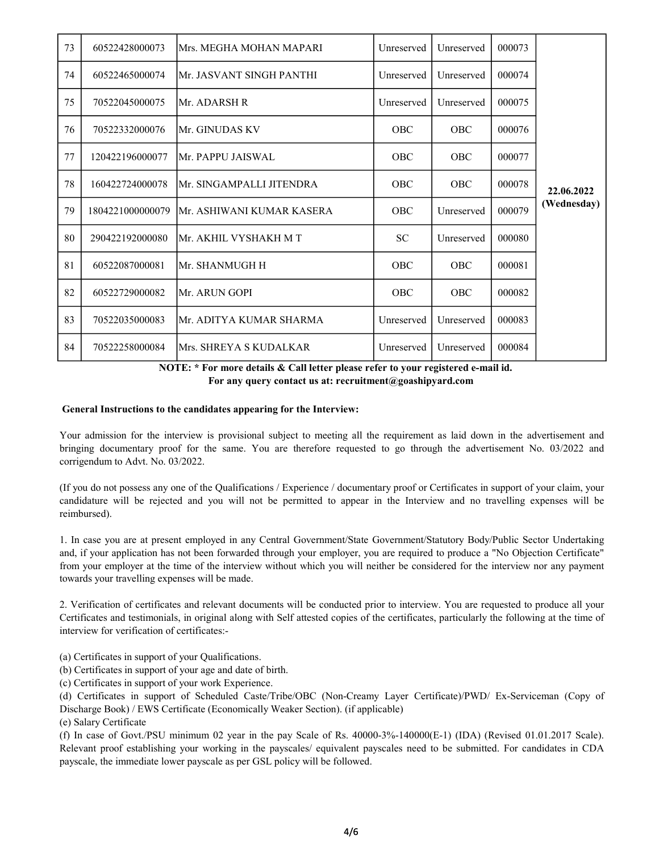| 73 | 60522428000073   | Mrs. MEGHA MOHAN MAPARI   | Unreserved | Unreserved | 000073 |             |
|----|------------------|---------------------------|------------|------------|--------|-------------|
| 74 | 60522465000074   | Mr. JASVANT SINGH PANTHI  | Unreserved | Unreserved | 000074 |             |
| 75 | 70522045000075   | Mr. ADARSH R              | Unreserved | Unreserved | 000075 |             |
| 76 | 70522332000076   | Mr. GINUDAS KV            | <b>OBC</b> | <b>OBC</b> | 000076 |             |
| 77 | 120422196000077  | Mr. PAPPU JAISWAL         | <b>OBC</b> | <b>OBC</b> | 000077 |             |
| 78 | 160422724000078  | Mr. SINGAMPALLI JITENDRA  | <b>OBC</b> | <b>OBC</b> | 000078 | 22.06.2022  |
| 79 | 1804221000000079 | Mr. ASHIWANI KUMAR KASERA | <b>OBC</b> | Unreserved | 000079 | (Wednesday) |
| 80 | 290422192000080  | Mr. AKHIL VYSHAKH M T     | <b>SC</b>  | Unreserved | 000080 |             |
| 81 | 60522087000081   | Mr. SHANMUGH H            | <b>OBC</b> | <b>OBC</b> | 000081 |             |
| 82 | 60522729000082   | Mr. ARUN GOPI             | <b>OBC</b> | <b>OBC</b> | 000082 |             |
| 83 | 70522035000083   | Mr. ADITYA KUMAR SHARMA   | Unreserved | Unreserved | 000083 |             |
| 84 | 70522258000084   | Mrs. SHREYA S KUDALKAR    | Unreserved | Unreserved | 000084 |             |

 NOTE: \* For more details & Call letter please refer to your registered e-mail id. For any query contact us at: recruitment@goashipyard.com

#### General Instructions to the candidates appearing for the Interview:

Your admission for the interview is provisional subject to meeting all the requirement as laid down in the advertisement and bringing documentary proof for the same. You are therefore requested to go through the advertisement No. 03/2022 and corrigendum to Advt. No. 03/2022.

(If you do not possess any one of the Qualifications / Experience / documentary proof or Certificates in support of your claim, your candidature will be rejected and you will not be permitted to appear in the Interview and no travelling expenses will be reimbursed).

1. In case you are at present employed in any Central Government/State Government/Statutory Body/Public Sector Undertaking and, if your application has not been forwarded through your employer, you are required to produce a "No Objection Certificate" from your employer at the time of the interview without which you will neither be considered for the interview nor any payment towards your travelling expenses will be made.

2. Verification of certificates and relevant documents will be conducted prior to interview. You are requested to produce all your Certificates and testimonials, in original along with Self attested copies of the certificates, particularly the following at the time of interview for verification of certificates:-

(a) Certificates in support of your Qualifications.

(b) Certificates in support of your age and date of birth.

(c) Certificates in support of your work Experience.

(d) Certificates in support of Scheduled Caste/Tribe/OBC (Non-Creamy Layer Certificate)/PWD/ Ex-Serviceman (Copy of Discharge Book) / EWS Certificate (Economically Weaker Section). (if applicable)

(e) Salary Certificate

(f) In case of Govt./PSU minimum 02 year in the pay Scale of Rs. 40000-3%-140000(E-1) (IDA) (Revised 01.01.2017 Scale). Relevant proof establishing your working in the payscales/ equivalent payscales need to be submitted. For candidates in CDA payscale, the immediate lower payscale as per GSL policy will be followed.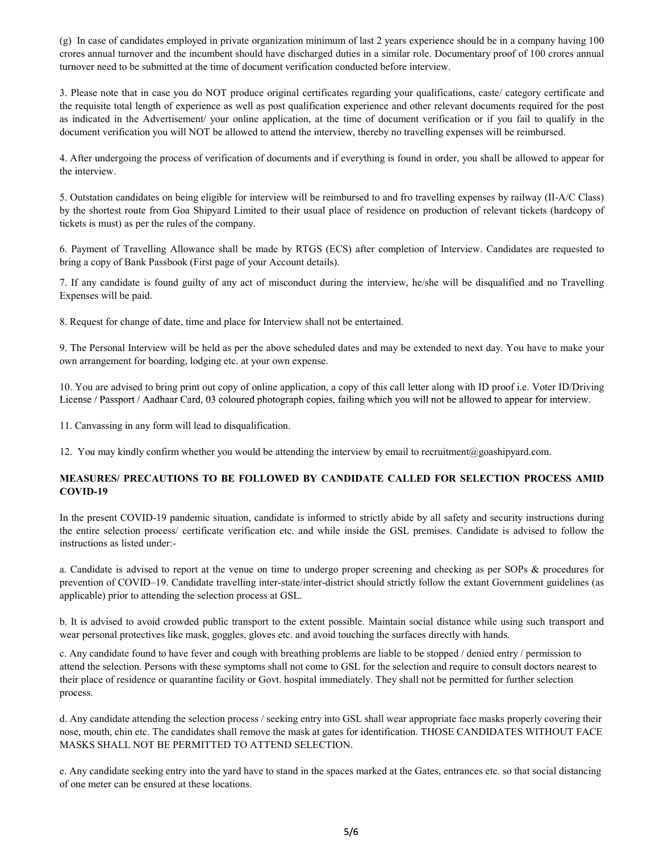(g) In case of candidates employed in private organization minimum of last 2 years experience should be in a company having 100 crores annual turnover and the incumbent should have discharged duties in a similar role. Documentary proof of 100 crores annual turnover need to be submitted at the time of document verification conducted before interview.

3. Please note that in case you do NOT produce original certificates regarding your qualifications, caste/ category certificate and the requisite total length of experience as well as post qualification experience and other relevant documents required for the post as indicated in the Advertisement/ your online application, at the time of document verification or if you fail to qualify in the document verification you will NOT be allowed to attend the interview, thereby no travelling expenses will be reimbursed.

4. After undergoing the process of verification of documents and if everything is found in order, you shall be allowed to appear for the interview.

5. Outstation candidates on being eligible for interview will be reimbursed to and fro travelling expenses by railway (II-A/C Class) by the shortest route from Goa Shipyard Limited to their usual place of residence on production of relevant tickets (hardcopy of tickets is must) as per the rules of the company.

6. Payment of Travelling Allowance shall be made by RTGS (ECS) after completion of Interview. Candidates are requested to bring a copy of Bank Passbook (First page of your Account details).

7. If any candidate is found guilty of any act of misconduct during the interview, he/she will be disqualified and no Travelling Expenses will be paid.

8. Request for change of date, time and place for Interview shall not be entertained.

9. The Personal Interview will be held as per the above scheduled dates and may be extended to next day. You have to make your own arrangement for boarding, lodging etc. at your own expense.

10. You are advised to bring print out copy of online application, a copy of this call letter along with ID proof i.e. Voter ID/Driving License / Passport / Aadhaar Card, 03 coloured photograph copies, failing which you will not be allowed to appear for interview.

11. Canvassing in any form will lead to disqualification.

12. You may kindly confirm whether you would be attending the interview by email to recruitment@goashipyard.com.

## MEASURES/ PRECAUTIONS TO BE FOLLOWED BY CANDIDATE CALLED FOR SELECTION PROCESS AMID COVID-19

In the present COVID-19 pandemic situation, candidate is informed to strictly abide by all safety and security instructions during the entire selection process/ certificate verification etc. and while inside the GSL premises. Candidate is advised to follow the instructions as listed under:-

a. Candidate is advised to report at the venue on time to undergo proper screening and checking as per SOPs & procedures for prevention of COVID–19. Candidate travelling inter-state/inter-district should strictly follow the extant Government guidelines (as applicable) prior to attending the selection process at GSL.

b. It is advised to avoid crowded public transport to the extent possible. Maintain social distance while using such transport and wear personal protectives like mask, goggles, gloves etc. and avoid touching the surfaces directly with hands.

c. Any candidate found to have fever and cough with breathing problems are liable to be stopped / denied entry / permission to attend the selection. Persons with these symptoms shall not come to GSL for the selection and require to consult doctors nearest to their place of residence or quarantine facility or Govt. hospital immediately. They shall not be permitted for further selection process.

d. Any candidate attending the selection process / seeking entry into GSL shall wear appropriate face masks properly covering their nose, mouth, chin etc. The candidates shall remove the mask at gates for identification. THOSE CANDIDATES WITHOUT FACE MASKS SHALL NOT BE PERMITTED TO ATTEND SELECTION.

e. Any candidate seeking entry into the yard have to stand in the spaces marked at the Gates, entrances etc. so that social distancing of one meter can be ensured at these locations.